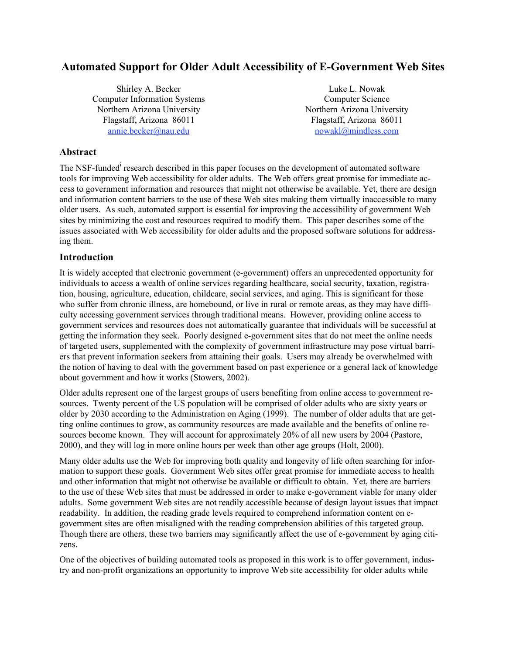# **Automated Support for Older Adult Accessibility of E-Government Web Sites**

Shirley A. Becker Computer Information Systems Northern Arizona University Flagstaff, Arizona 86011 annie.becker@nau.edu

Luke L. Nowak Computer Science Northern Arizona University Flagstaff, Arizona 86011 nowakl@mindless.com

## **Abstract**

The NSF-funded<sup>i</sup> research described in this paper focuses on the development of automated software tools for improving Web accessibility for older adults. The Web offers great promise for immediate access to government information and resources that might not otherwise be available. Yet, there are design and information content barriers to the use of these Web sites making them virtually inaccessible to many older users. As such, automated support is essential for improving the accessibility of government Web sites by minimizing the cost and resources required to modify them. This paper describes some of the issues associated with Web accessibility for older adults and the proposed software solutions for addressing them.

## **Introduction**

It is widely accepted that electronic government (e-government) offers an unprecedented opportunity for individuals to access a wealth of online services regarding healthcare, social security, taxation, registration, housing, agriculture, education, childcare, social services, and aging. This is significant for those who suffer from chronic illness, are homebound, or live in rural or remote areas, as they may have difficulty accessing government services through traditional means. However, providing online access to government services and resources does not automatically guarantee that individuals will be successful at getting the information they seek. Poorly designed e-government sites that do not meet the online needs of targeted users, supplemented with the complexity of government infrastructure may pose virtual barriers that prevent information seekers from attaining their goals. Users may already be overwhelmed with the notion of having to deal with the government based on past experience or a general lack of knowledge about government and how it works (Stowers, 2002).

Older adults represent one of the largest groups of users benefiting from online access to government resources. Twenty percent of the US population will be comprised of older adults who are sixty years or older by 2030 according to the Administration on Aging (1999). The number of older adults that are getting online continues to grow, as community resources are made available and the benefits of online resources become known. They will account for approximately 20% of all new users by 2004 (Pastore, 2000), and they will log in more online hours per week than other age groups (Holt, 2000).

Many older adults use the Web for improving both quality and longevity of life often searching for information to support these goals. Government Web sites offer great promise for immediate access to health and other information that might not otherwise be available or difficult to obtain. Yet, there are barriers to the use of these Web sites that must be addressed in order to make e-government viable for many older adults. Some government Web sites are not readily accessible because of design layout issues that impact readability. In addition, the reading grade levels required to comprehend information content on egovernment sites are often misaligned with the reading comprehension abilities of this targeted group. Though there are others, these two barriers may significantly affect the use of e-government by aging citizens.

One of the objectives of building automated tools as proposed in this work is to offer government, industry and non-profit organizations an opportunity to improve Web site accessibility for older adults while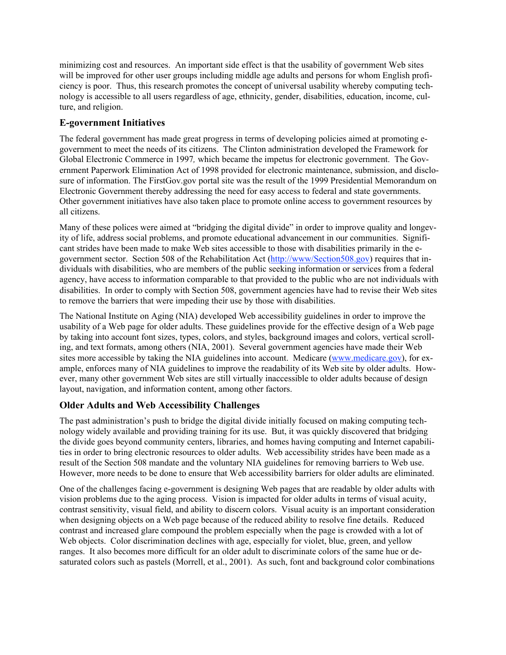minimizing cost and resources. An important side effect is that the usability of government Web sites will be improved for other user groups including middle age adults and persons for whom English proficiency is poor. Thus, this research promotes the concept of universal usability whereby computing technology is accessible to all users regardless of age, ethnicity, gender, disabilities, education, income, culture, and religion.

## **E-government Initiatives**

The federal government has made great progress in terms of developing policies aimed at promoting egovernment to meet the needs of its citizens. The Clinton administration developed the Framework for Global Electronic Commerce in 1997*,* which became the impetus for electronic government. The Government Paperwork Elimination Act of 1998 provided for electronic maintenance, submission, and disclosure of information. The FirstGov.gov portal site was the result of the 1999 Presidential Memorandum on Electronic Government thereby addressing the need for easy access to federal and state governments. Other government initiatives have also taken place to promote online access to government resources by all citizens.

Many of these polices were aimed at "bridging the digital divide" in order to improve quality and longevity of life, address social problems, and promote educational advancement in our communities. Significant strides have been made to make Web sites accessible to those with disabilities primarily in the egovernment sector. Section 508 of the Rehabilitation Act (http://www/Section508.gov) requires that individuals with disabilities, who are members of the public seeking information or services from a federal agency, have access to information comparable to that provided to the public who are not individuals with disabilities. In order to comply with Section 508, government agencies have had to revise their Web sites to remove the barriers that were impeding their use by those with disabilities.

The National Institute on Aging (NIA) developed Web accessibility guidelines in order to improve the usability of a Web page for older adults. These guidelines provide for the effective design of a Web page by taking into account font sizes, types, colors, and styles, background images and colors, vertical scrolling, and text formats, among others (NIA, 2001). Several government agencies have made their Web sites more accessible by taking the NIA guidelines into account. Medicare (www.medicare.gov), for example, enforces many of NIA guidelines to improve the readability of its Web site by older adults. However, many other government Web sites are still virtually inaccessible to older adults because of design layout, navigation, and information content, among other factors.

## **Older Adults and Web Accessibility Challenges**

The past administration's push to bridge the digital divide initially focused on making computing technology widely available and providing training for its use. But, it was quickly discovered that bridging the divide goes beyond community centers, libraries, and homes having computing and Internet capabilities in order to bring electronic resources to older adults. Web accessibility strides have been made as a result of the Section 508 mandate and the voluntary NIA guidelines for removing barriers to Web use. However, more needs to be done to ensure that Web accessibility barriers for older adults are eliminated.

One of the challenges facing e-government is designing Web pages that are readable by older adults with vision problems due to the aging process. Vision is impacted for older adults in terms of visual acuity, contrast sensitivity, visual field, and ability to discern colors. Visual acuity is an important consideration when designing objects on a Web page because of the reduced ability to resolve fine details. Reduced contrast and increased glare compound the problem especially when the page is crowded with a lot of Web objects. Color discrimination declines with age, especially for violet, blue, green, and yellow ranges. It also becomes more difficult for an older adult to discriminate colors of the same hue or desaturated colors such as pastels (Morrell, et al., 2001). As such, font and background color combinations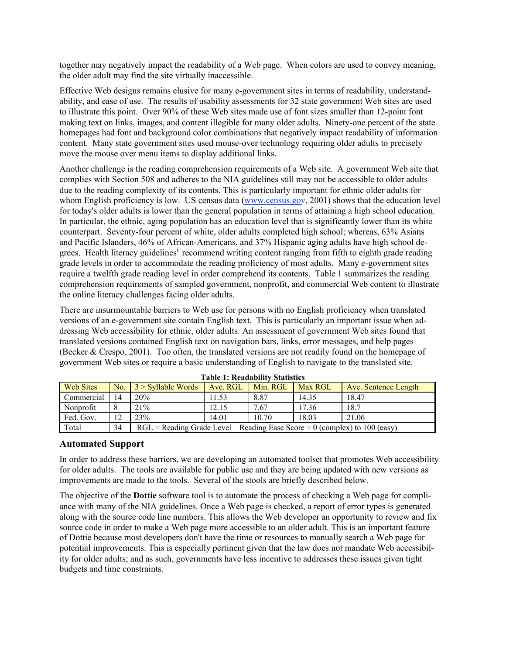together may negatively impact the readability of a Web page. When colors are used to convey meaning, the older adult may find the site virtually inaccessible.

Effective Web designs remains elusive for many e-government sites in terms of readability, understandability, and ease of use. The results of usability assessments for 32 state government Web sites are used to illustrate this point. Over 90% of these Web sites made use of font sizes smaller than 12-point font making text on links, images, and content illegible for many older adults. Ninety-one percent of the state homepages had font and background color combinations that negatively impact readability of information content. Many state government sites used mouse-over technology requiring older adults to precisely move the mouse over menu items to display additional links.

Another challenge is the reading comprehension requirements of a Web site. A government Web site that complies with Section 508 and adheres to the NIA guidelines still may not be accessible to older adults due to the reading complexity of its contents. This is particularly important for ethnic older adults for whom English proficiency is low. US census data (www.census.gov, 2001) shows that the education level for today's older adults is lower than the general population in terms of attaining a high school education. In particular, the ethnic, aging population has an education level that is significantly lower than its white counterpart. Seventy-four percent of white, older adults completed high school; whereas, 63% Asians and Pacific Islanders, 46% of African-Americans, and 37% Hispanic aging adults have high school degrees. Health literacy guidelines<sup>ii</sup> recommend writing content ranging from fifth to eighth grade reading grade levels in order to accommodate the reading proficiency of most adults. Many e-government sites require a twelfth grade reading level in order comprehend its contents. Table 1 summarizes the reading comprehension requirements of sampled government, nonprofit, and commercial Web content to illustrate the online literacy challenges facing older adults.

There are insurmountable barriers to Web use for persons with no English proficiency when translated versions of an e-government site contain English text. This is particularly an important issue when addressing Web accessibility for ethnic, older adults. An assessment of government Web sites found that translated versions contained English text on navigation bars, links, error messages, and help pages (Becker & Crespo, 2001). Too often, the translated versions are not readily found on the homepage of government Web sites or require a basic understanding of English to navigate to the translated site.

| <b>Web Sites</b> | No.         | 3 > Syllable Words                                                         | Ave. RGL | Min. RGL | <b>Max RGL</b> | Ave. Sentence Length |
|------------------|-------------|----------------------------------------------------------------------------|----------|----------|----------------|----------------------|
| Commercial       | 14          | 20%                                                                        | 1.53     | 8.87     | 14.35          | 18.47                |
| Nonprofit        |             | 21%                                                                        | 12.15    | 7.67     | 17.36          | 18.7                 |
| Fed. Gov.        | $1^{\circ}$ | 23%                                                                        | 14.01    | 10.70    | 18.03          | 21.06                |
| Total            | 34          | $RGL =$ Reading Grade Level Reading Ease Score = 0 (complex) to 100 (easy) |          |          |                |                      |

**Table 1: Readability Statistics**

## **Automated Support**

In order to address these barriers, we are developing an automated toolset that promotes Web accessibility for older adults. The tools are available for public use and they are being updated with new versions as improvements are made to the tools. Several of the stools are briefly described below.

The objective of the **Dottie** software tool is to automate the process of checking a Web page for compliance with many of the NIA guidelines. Once a Web page is checked, a report of error types is generated along with the source code line numbers. This allows the Web developer an opportunity to review and fix source code in order to make a Web page more accessible to an older adult. This is an important feature of Dottie because most developers don't have the time or resources to manually search a Web page for potential improvements. This is especially pertinent given that the law does not mandate Web accessibility for older adults; and as such, governments have less incentive to addresses these issues given tight budgets and time constraints.